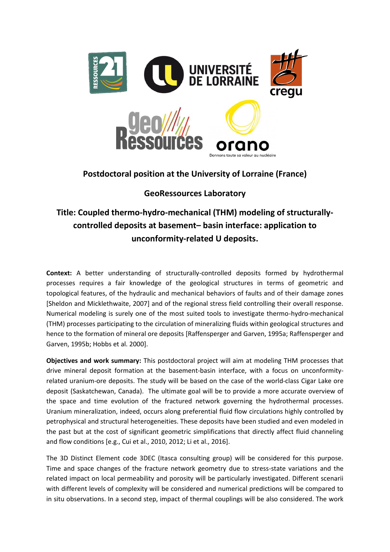

## **Postdoctoral position at the University of Lorraine (France)**

## **GeoRessources Laboratory**

## **Title: Coupled thermo-hydro-mechanical (THM) modeling of structurallycontrolled deposits at basement– basin interface: application to unconformity-related U deposits.**

**Context:** A better understanding of structurally-controlled deposits formed by hydrothermal processes requires a fair knowledge of the geological structures in terms of geometric and topological features, of the hydraulic and mechanical behaviors of faults and of their damage zones [Sheldon and Micklethwaite, 2007] and of the regional stress field controlling their overall response. Numerical modeling is surely one of the most suited tools to investigate thermo-hydro-mechanical (THM) processes participating to the circulation of mineralizing fluids within geological structures and hence to the formation of mineral ore deposits [Raffensperger and Garven, 1995a; Raffensperger and Garven, 1995b; Hobbs et al. 2000].

**Objectives and work summary:** This postdoctoral project will aim at modeling THM processes that drive mineral deposit formation at the basement-basin interface, with a focus on unconformityrelated uranium-ore deposits. The study will be based on the case of the world-class Cigar Lake ore deposit (Saskatchewan, Canada). The ultimate goal will be to provide a more accurate overview of the space and time evolution of the fractured network governing the hydrothermal processes. Uranium mineralization, indeed, occurs along preferential fluid flow circulations highly controlled by petrophysical and structural heterogeneities. These deposits have been studied and even modeled in the past but at the cost of significant geometric simplifications that directly affect fluid channeling and flow conditions [e.g., Cui et al., 2010, 2012; Li et al., 2016].

The 3D Distinct Element code 3DEC (Itasca consulting group) will be considered for this purpose. Time and space changes of the fracture network geometry due to stress-state variations and the related impact on local permeability and porosity will be particularly investigated. Different scenarii with different levels of complexity will be considered and numerical predictions will be compared to in situ observations. In a second step, impact of thermal couplings will be also considered. The work